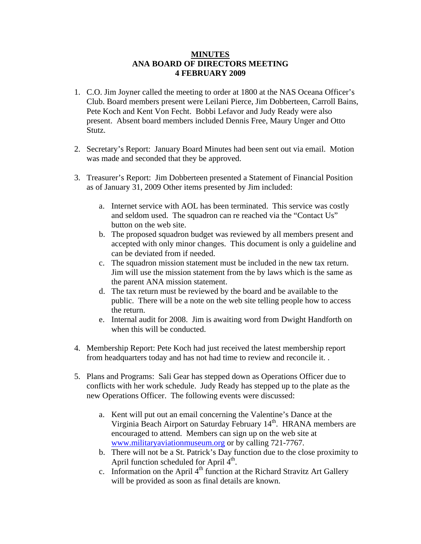## **MINUTES ANA BOARD OF DIRECTORS MEETING 4 FEBRUARY 2009**

- 1. C.O. Jim Joyner called the meeting to order at 1800 at the NAS Oceana Officer's Club. Board members present were Leilani Pierce, Jim Dobberteen, Carroll Bains, Pete Koch and Kent Von Fecht. Bobbi Lefavor and Judy Ready were also present. Absent board members included Dennis Free, Maury Unger and Otto Stutz.
- 2. Secretary's Report: January Board Minutes had been sent out via email. Motion was made and seconded that they be approved.
- 3. Treasurer's Report: Jim Dobberteen presented a Statement of Financial Position as of January 31, 2009 Other items presented by Jim included:
	- a. Internet service with AOL has been terminated. This service was costly and seldom used. The squadron can re reached via the "Contact Us" button on the web site.
	- b. The proposed squadron budget was reviewed by all members present and accepted with only minor changes. This document is only a guideline and can be deviated from if needed.
	- c. The squadron mission statement must be included in the new tax return. Jim will use the mission statement from the by laws which is the same as the parent ANA mission statement.
	- d. The tax return must be reviewed by the board and be available to the public. There will be a note on the web site telling people how to access the return.
	- e. Internal audit for 2008. Jim is awaiting word from Dwight Handforth on when this will be conducted.
- 4. Membership Report: Pete Koch had just received the latest membership report from headquarters today and has not had time to review and reconcile it. .
- 5. Plans and Programs: Sali Gear has stepped down as Operations Officer due to conflicts with her work schedule. Judy Ready has stepped up to the plate as the new Operations Officer. The following events were discussed:
	- a. Kent will put out an email concerning the Valentine's Dance at the Virginia Beach Airport on Saturday February 14<sup>th</sup>. HRANA members are encouraged to attend. Members can sign up on the web site at [www.militaryaviationmuseum.org](http://www.militaryaviationmuseum.org/) or by calling 721-7767.
	- b. There will not be a St. Patrick's Day function due to the close proximity to April function scheduled for April  $4<sup>th</sup>$ .
	- c. Information on the April  $4<sup>th</sup>$  function at the Richard Stravitz Art Gallery will be provided as soon as final details are known.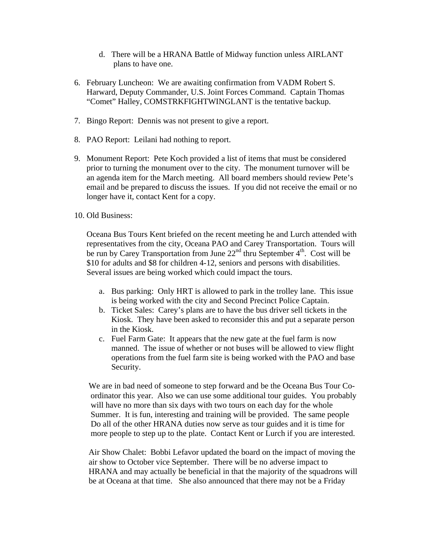- d. There will be a HRANA Battle of Midway function unless AIRLANT plans to have one.
- 6. February Luncheon: We are awaiting confirmation from VADM Robert S. Harward, Deputy Commander, U.S. Joint Forces Command. Captain Thomas "Comet" Halley, COMSTRKFIGHTWINGLANT is the tentative backup.
- 7. Bingo Report: Dennis was not present to give a report.
- 8. PAO Report: Leilani had nothing to report.
- 9. Monument Report: Pete Koch provided a list of items that must be considered prior to turning the monument over to the city. The monument turnover will be an agenda item for the March meeting. All board members should review Pete's email and be prepared to discuss the issues. If you did not receive the email or no longer have it, contact Kent for a copy.
- 10. Old Business:

Oceana Bus Tours Kent briefed on the recent meeting he and Lurch attended with representatives from the city, Oceana PAO and Carey Transportation. Tours will be run by Carey Transportation from June  $22<sup>nd</sup>$  thru September  $4<sup>th</sup>$ . Cost will be \$10 for adults and \$8 for children 4-12, seniors and persons with disabilities. Several issues are being worked which could impact the tours.

- a. Bus parking: Only HRT is allowed to park in the trolley lane. This issue is being worked with the city and Second Precinct Police Captain.
- b. Ticket Sales: Carey's plans are to have the bus driver sell tickets in the Kiosk. They have been asked to reconsider this and put a separate person in the Kiosk.
- c. Fuel Farm Gate: It appears that the new gate at the fuel farm is now manned. The issue of whether or not buses will be allowed to view flight operations from the fuel farm site is being worked with the PAO and base Security.

 We are in bad need of someone to step forward and be the Oceana Bus Tour Co ordinator this year. Also we can use some additional tour guides. You probably will have no more than six days with two tours on each day for the whole Summer. It is fun, interesting and training will be provided. The same people Do all of the other HRANA duties now serve as tour guides and it is time for more people to step up to the plate. Contact Kent or Lurch if you are interested.

 Air Show Chalet: Bobbi Lefavor updated the board on the impact of moving the air show to October vice September. There will be no adverse impact to HRANA and may actually be beneficial in that the majority of the squadrons will be at Oceana at that time. She also announced that there may not be a Friday